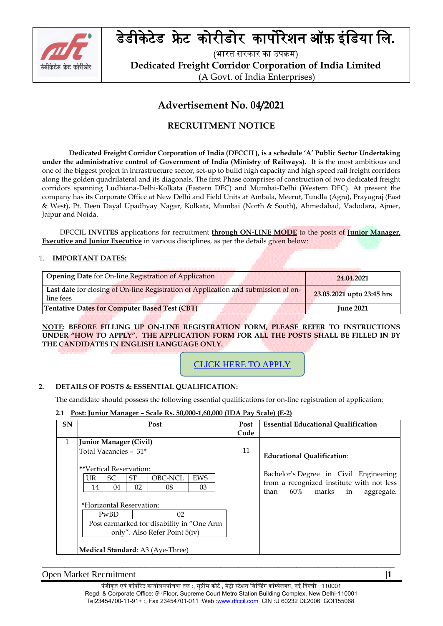

# डेडीकेटेडफ्रे टकोरीडोरकापोरेशन ऑफ़ इंबडर्ा बल**.**

(भारत सरकार का उपक्रम) **Dedicated Freight Corridor Corporation of India Limited** (A Govt. of India Enterprises)

# **Advertisement No. 04/2021**

# **RECRUITMENT NOTICE**

**Dedicated Freight Corridor Corporation of India (DFCCIL), is a schedule 'A' Public Sector Undertaking under the administrative control of Government of India (Ministry of Railways).** It is the most ambitious and one of the biggest project in infrastructure sector, set-up to build high capacity and high speed rail freight corridors along the golden quadrilateral and its diagonals. The first Phase comprises of construction of two dedicated freight corridors spanning Ludhiana-Delhi-Kolkata (Eastern DFC) and Mumbai-Delhi (Western DFC). At present the company has its Corporate Office at New Delhi and Field Units at Ambala, Meerut, Tundla (Agra), Prayagraj (East & West), Pt. Deen Dayal Upadhyay Nagar, Kolkata, Mumbai (North & South), Ahmedabad, Vadodara, Ajmer, Jaipur and Noida.

 DFCCIL **INVITES** applications for recruitment **through ON-LINE MODE** to the posts of **Junior Manager, Executive and Junior Executive** in various disciplines, as per the details given below:

## 1. **IMPORTANT DATES:**

| <b>Opening Date</b> for On-line Registration of Application                                     | 24.04.2021                |
|-------------------------------------------------------------------------------------------------|---------------------------|
| Last date for closing of On-line Registration of Application and submission of on-<br>line fees | 23.05.2021 upto 23:45 hrs |
| <b>Tentative Dates for Computer Based Test (CBT)</b>                                            | <b>June 2021</b>          |

**NOTE: BEFORE FILLING UP ON-LINE REGISTRATION FORM, PLEASE REFER TO INSTRUCTIONS UNDER "HOW TO APPLY". THE APPLICATION FORM FOR ALL THE POSTS SHALL BE FILLED IN BY THE CANDIDATES IN ENGLISH LANGUAGE ONLY.**

CLICK HERE TO APPLY

# **2. DETAILS OF POSTS & ESSENTIAL QUALIFICATION:**

The candidate should possess the following essential qualifications for on-line registration of application:

**2.1 Post: Junior Manager – Scale Rs. 50,000-1,60,000 (IDA Pay Scale) (E-2)** 

| <b>SN</b>    | Post                                      |     |           |                         |         |            | Post | <b>Essential Educational Qualification</b>                                            |
|--------------|-------------------------------------------|-----|-----------|-------------------------|---------|------------|------|---------------------------------------------------------------------------------------|
|              |                                           |     |           |                         |         |            | Code |                                                                                       |
| $\mathbf{1}$ |                                           |     |           | Junior Manager (Civil)  |         |            |      |                                                                                       |
|              |                                           |     |           | Total Vacancies - 31*   |         |            | 11   | <b>Educational Oualification:</b>                                                     |
|              |                                           |     |           | **Vertical Reservation: |         |            |      |                                                                                       |
|              |                                           | UR. | <b>SC</b> | <b>ST</b>               | OBC-NCL | <b>EWS</b> |      | Bachelor's Degree in Civil Engineering                                                |
|              |                                           | 14  | 04        | 02                      | 08      | 03         |      | from a recognized institute with not less<br>marks<br>60%<br>than<br>in<br>aggregate. |
|              | *Horizontal Reservation:                  |     |           |                         |         |            |      |                                                                                       |
|              |                                           |     | PwBD      |                         | 02      |            |      |                                                                                       |
|              | Post earmarked for disability in "One Arm |     |           |                         |         |            |      |                                                                                       |
|              | only". Also Refer Point 5(iv)             |     |           |                         |         |            |      |                                                                                       |
|              | <b>Medical Standard:</b> A3 (Aye-Three)   |     |           |                         |         |            |      |                                                                                       |

Open Market Recruitment |**1**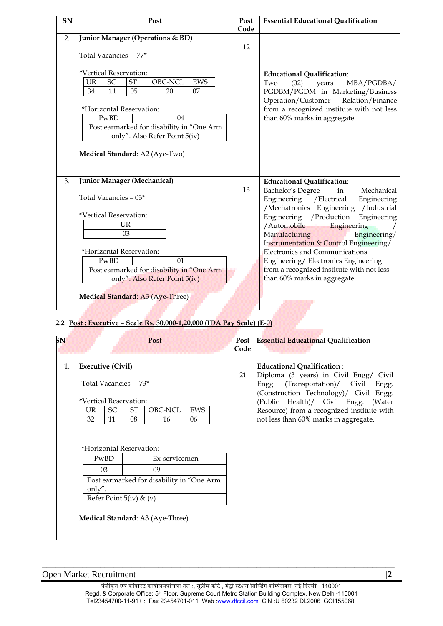| SN | Post                                                                                                                       | Post | <b>Essential Educational Qualification</b>                                                                                                            |
|----|----------------------------------------------------------------------------------------------------------------------------|------|-------------------------------------------------------------------------------------------------------------------------------------------------------|
|    |                                                                                                                            | Code |                                                                                                                                                       |
| 2. | Junior Manager (Operations & BD)<br>Total Vacancies - 77*                                                                  | 12   |                                                                                                                                                       |
|    | *Vertical Reservation:<br>SC<br>OBC-NCL<br><b>ST</b><br><b>EWS</b><br>UR<br>07<br>34<br>11<br>05<br>20                     |      | <b>Educational Qualification:</b><br>(02)<br>Two<br>MBA/PGDBA/<br>years<br>PGDBM/PGDM in Marketing/Business<br>Operation/Customer<br>Relation/Finance |
|    | *Horizontal Reservation:                                                                                                   |      | from a recognized institute with not less                                                                                                             |
|    | PwBD<br>04<br>Post earmarked for disability in "One Arm<br>only". Also Refer Point 5(iv)<br>Medical Standard: A2 (Aye-Two) |      | than 60% marks in aggregate.                                                                                                                          |
| 3. | Junior Manager (Mechanical)                                                                                                |      | <b>Educational Qualification:</b>                                                                                                                     |
|    | Total Vacancies - 03*                                                                                                      | 13   | Bachelor's Degree<br>in<br>Mechanical<br>Engineering / Electrical<br>Engineering<br>/Mechatronics<br>Engineering /Industrial                          |
|    | *Vertical Reservation:<br><b>UR</b><br>03                                                                                  |      | Engineering / Production<br>Engineering<br>/Automobile<br>Engineering<br>Manufacturing<br>Engineering/<br>Instrumentation & Control Engineering/      |
|    | *Horizontal Reservation:                                                                                                   |      | <b>Electronics and Communications</b>                                                                                                                 |
|    | PwBD<br>01                                                                                                                 |      | Engineering/Electronics Engineering                                                                                                                   |
|    | Post earmarked for disability in "One Arm                                                                                  |      | from a recognized institute with not less                                                                                                             |
|    | only". Also Refer Point 5(iv)                                                                                              |      | than 60% marks in aggregate.                                                                                                                          |
|    | Medical Standard: A3 (Aye-Three)                                                                                           |      |                                                                                                                                                       |

# **2.2 Post : Executive – Scale Rs. 30,000-1,20,000 (IDA Pay Scale) (E-0)**

| SN |                                  |     |                          |    | Post                                      |            |  | Post | <b>Essential Educational Qualification</b> |
|----|----------------------------------|-----|--------------------------|----|-------------------------------------------|------------|--|------|--------------------------------------------|
|    |                                  |     |                          |    |                                           |            |  | Code |                                            |
|    |                                  |     |                          |    |                                           |            |  |      |                                            |
| 1. |                                  |     | <b>Executive (Civil)</b> |    |                                           |            |  |      | <b>Educational Qualification:</b>          |
|    |                                  |     |                          |    |                                           |            |  | 21   | Diploma (3 years) in Civil Engg/ Civil     |
|    |                                  |     | Total Vacancies - 73*    |    |                                           |            |  |      | Engg. (Transportation)/ Civil Engg.        |
|    |                                  |     |                          |    |                                           |            |  |      | (Construction Technology)/ Civil Engg.     |
|    |                                  |     | *Vertical Reservation:   |    |                                           |            |  |      | (Public Health)/ Civil Engg. (Water        |
|    |                                  | UR. | SC                       | ST | OBC-NCL                                   | <b>EWS</b> |  |      | Resource) from a recognized institute with |
|    |                                  | 32  | 11                       | 08 | 16                                        | 06         |  |      | not less than 60% marks in aggregate.      |
|    |                                  |     |                          |    |                                           |            |  |      |                                            |
|    |                                  |     |                          |    |                                           |            |  |      |                                            |
|    |                                  |     |                          |    |                                           |            |  |      |                                            |
|    |                                  |     | *Horizontal Reservation: |    |                                           |            |  |      |                                            |
|    |                                  |     | PwBD                     |    | Ex-servicemen                             |            |  |      |                                            |
|    |                                  |     | 0 <sup>3</sup>           |    | 09                                        |            |  |      |                                            |
|    |                                  |     |                          |    | Post earmarked for disability in "One Arm |            |  |      |                                            |
|    | only".                           |     |                          |    |                                           |            |  |      |                                            |
|    | Refer Point 5(iv) & (v)          |     |                          |    |                                           |            |  |      |                                            |
|    |                                  |     |                          |    |                                           |            |  |      |                                            |
|    | Medical Standard: A3 (Aye-Three) |     |                          |    |                                           |            |  |      |                                            |
|    |                                  |     |                          |    |                                           |            |  |      |                                            |
|    |                                  |     |                          |    |                                           |            |  |      |                                            |
|    |                                  |     |                          |    |                                           |            |  |      |                                            |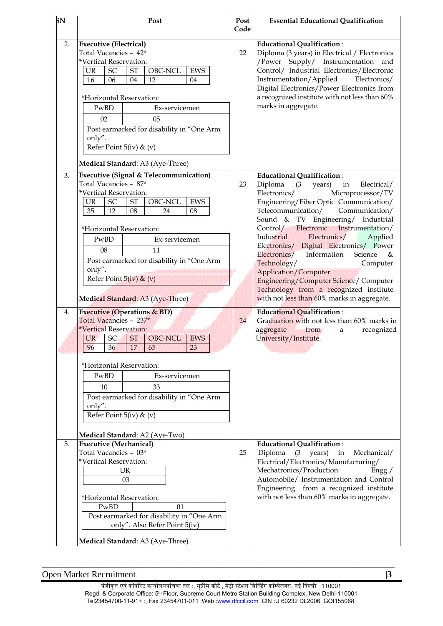| 5N       | Post                                                                                                                                                                                                                                                                                                                                                                                                                                                                                                                                                                                                                                                                                                                                                                              | Post<br>Code | <b>Essential Educational Qualification</b>                                                                                                                                                                                                                                                                                                                                                                                                                                                                                                                                                                                                                                                                                                                                        |
|----------|-----------------------------------------------------------------------------------------------------------------------------------------------------------------------------------------------------------------------------------------------------------------------------------------------------------------------------------------------------------------------------------------------------------------------------------------------------------------------------------------------------------------------------------------------------------------------------------------------------------------------------------------------------------------------------------------------------------------------------------------------------------------------------------|--------------|-----------------------------------------------------------------------------------------------------------------------------------------------------------------------------------------------------------------------------------------------------------------------------------------------------------------------------------------------------------------------------------------------------------------------------------------------------------------------------------------------------------------------------------------------------------------------------------------------------------------------------------------------------------------------------------------------------------------------------------------------------------------------------------|
| 2.       | <b>Executive (Electrical)</b><br>Total Vacancies - 42*<br>*Vertical Reservation:<br>OBC-NCL<br>SC<br><b>ST</b><br><b>EWS</b><br><b>UR</b><br>06<br>04<br>12<br>16<br>04<br>*Horizontal Reservation:<br>Ex-servicemen<br>PwBD<br>02<br>05<br>Post earmarked for disability in "One Arm<br>only".<br>Refer Point $5(iv)$ & $(v)$                                                                                                                                                                                                                                                                                                                                                                                                                                                    | 22           | <b>Educational Qualification:</b><br>Diploma (3 years) in Electrical / Electronics<br>/Power Supply/ Instrumentation and<br>Control/ Industrial Electronics/Electronic<br>Instrumentation/Applied<br>Electronics/<br>Digital Electronics/Power Electronics from<br>a recognized institute with not less than 60%<br>marks in aggregate.                                                                                                                                                                                                                                                                                                                                                                                                                                           |
| 3.<br>4. | Medical Standard: A3 (Aye-Three)<br><b>Executive (Signal &amp; Telecommunication)</b><br>Total Vacancies - 87*<br>*Vertical Reservation:<br>OBC-NCL<br>${\rm SC}$<br>$\operatorname{ST}$<br>EWS<br><b>UR</b><br>35<br>12<br>08<br>24<br>08<br>*Horizontal Reservation:<br>PwBD<br>Ex-servicemen<br>08<br>11<br>Post earmarked for disability in "One Arm<br>only".<br>Refer Point $5(iv)$ & $(v)$<br>Medical Standard: A3 (Aye-Three)<br><b>Executive (Operations &amp; BD)</b><br>Total Vacancies - 237*<br>*Vertical Reservation:<br>OBC-NCL<br><b>ST</b><br><b>EWS</b><br>SC <sub>1</sub><br>UR-<br>17 65<br>36<br>96<br>23<br>*Horizontal Reservation:<br>PwBD<br>Ex-servicemen<br>10<br>33<br>Post earmarked for disability in "One Arm<br>only".<br>Refer Point 5(iv) & (v) | 23<br>24     | <b>Educational Qualification:</b><br>Diploma<br>$(3 - )$<br>years)<br>Electrical/<br>in<br>Electronics/<br>Microprocessor/TV<br>Engineering/Fiber Optic Communication/<br>Telecommunication/<br>Communication/<br>Sound & TV Engineering/ Industrial<br>Control/ Electronic Instrumentation/<br>Industrial<br>Electronics/<br>Applied<br>Electronics/ Digital Electronics/ Power<br>Information<br>Electronics/<br>Science<br>$\&$<br>Technology/<br>Computer<br><b>Application/Computer</b><br>Engineering/Computer Science/Computer<br>Technology from a recognized institute<br>with not less than 60% marks in aggregate.<br><b>Educational Qualification:</b><br>Graduation with not less than 60% marks in<br>from<br>recognized<br>aggregate<br>a<br>University/Institute. |
| 5.       | Medical Standard: A2 (Aye-Two)<br><b>Executive (Mechanical)</b><br>Total Vacancies - 03*<br>*Vertical Reservation:<br>UR<br>03<br>*Horizontal Reservation:<br>PwBD<br>01<br>Post earmarked for disability in "One Arm<br>only". Also Refer Point 5(iv)<br>Medical Standard: A3 (Aye-Three)                                                                                                                                                                                                                                                                                                                                                                                                                                                                                        | 25           | <b>Educational Qualification:</b><br>Diploma<br>(3)<br>years)<br>in<br>Mechanical/<br>Electrical/Electronics/Manufacturing/<br>Mechatronics/Production<br>Engg./<br>Automobile/ Instrumentation and Control<br>Engineering from a recognized institute<br>with not less than 60% marks in aggregate.                                                                                                                                                                                                                                                                                                                                                                                                                                                                              |

Open Market Recruitment |**3**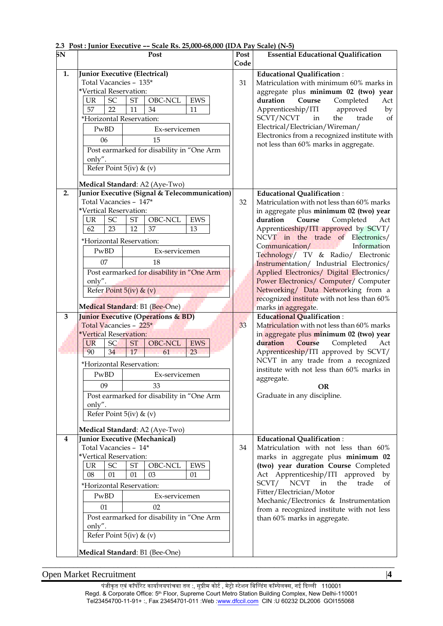| $\overline{\text{SN}}$ | Post                                                                    | Post<br>Code | <b>Essential Educational Qualification</b>                                         |
|------------------------|-------------------------------------------------------------------------|--------------|------------------------------------------------------------------------------------|
| 1.                     | Junior Executive (Electrical)                                           |              | <b>Educational Qualification:</b>                                                  |
|                        | Total Vacancies - 135*                                                  | 31           | Matriculation with minimum 60% marks in                                            |
|                        | *Vertical Reservation:                                                  |              | aggregate plus minimum 02 (two) year                                               |
|                        | SC<br><b>ST</b><br>OBC-NCL<br><b>EWS</b><br>UR                          |              | duration<br>Course<br>Completed<br>Act                                             |
|                        | 57<br>22<br>11<br>34<br>11                                              |              | Apprenticeship/ITI<br>approved<br>by                                               |
|                        | *Horizontal Reservation:                                                |              | SCVT/NCVT<br>trade<br>in<br>the<br>of                                              |
|                        | PwBD<br>Ex-servicemen                                                   |              | Electrical/Electrician/Wireman/                                                    |
|                        | 06<br>15                                                                |              | Electronics from a recognized institute with                                       |
|                        | Post earmarked for disability in "One Arm                               |              | not less than 60% marks in aggregate.                                              |
|                        | only".                                                                  |              |                                                                                    |
|                        | Refer Point 5(iv) & (v)                                                 |              |                                                                                    |
|                        |                                                                         |              |                                                                                    |
|                        | Medical Standard: A2 (Aye-Two)                                          |              |                                                                                    |
| 2.                     | Junior Executive (Signal & Telecommunication)<br>Total Vacancies - 147* | 32           | <b>Educational Qualification:</b><br>Matriculation with not less than 60% marks    |
|                        | *Vertical Reservation:                                                  |              | in aggregate plus minimum 02 (two) year                                            |
|                        | OBC-NCL<br>SC<br><b>EWS</b><br><b>UR</b><br><b>ST</b>                   |              | duration<br>Completed<br>Course<br>Act                                             |
|                        | 23<br>12<br>62<br>37<br>13                                              |              | Apprenticeship/ITI approved by SCVT/                                               |
|                        | *Horizontal Reservation:                                                |              | NCVT in the trade of Electronics/                                                  |
|                        | PwBD<br>Ex-servicemen                                                   |              | Information<br>Communication/                                                      |
|                        |                                                                         |              | Technology/ TV & Radio/ Electronic                                                 |
|                        | 07<br>18                                                                |              | Instrumentation/ Industrial Electronics/                                           |
|                        | Post earmarked for disability in "One Arm<br>only".                     |              | Applied Electronics/ Digital Electronics/<br>Power Electronics/ Computer/ Computer |
|                        | Refer Point $5(iv)$ & $(v)$                                             |              | Networking/ Data Networking from a                                                 |
|                        |                                                                         |              | recognized institute with not less than 60%                                        |
|                        | Medical Standard: B1 (Bee-One)                                          |              | marks in aggregate.                                                                |
| 3                      | <b>Junior Executive (Operations &amp; BD)</b>                           |              | <b>Educational Qualification:</b>                                                  |
|                        | Total Vacancies - 225*                                                  | 33           | Matriculation with not less than 60% marks                                         |
|                        | *Vertical Reservation:                                                  |              | in aggregate plus minimum 02 (two) year                                            |
|                        | SC<br><b>ST</b><br>OBC-NCL<br><b>EWS</b><br><b>UR</b>                   |              | duration<br><b>Course</b><br>Completed<br>Act                                      |
|                        | 90<br>34<br>17<br>61<br>23                                              |              | Apprenticeship/ITI approved by SCVT/<br>NCVT in any trade from a recognized        |
|                        | *Horizontal Reservation:                                                |              | institute with not less than 60% marks in                                          |
|                        | PwBD<br>Ex-servicemen                                                   |              | aggregate.                                                                         |
|                        | 09<br>33                                                                |              | <b>OR</b>                                                                          |
|                        | Post earmarked for disability in "One Arm                               |              | Graduate in any discipline.                                                        |
|                        | only".                                                                  |              |                                                                                    |
|                        | Refer Point 5(iv) & (v)                                                 |              |                                                                                    |
|                        | Medical Standard: A2 (Aye-Two)                                          |              |                                                                                    |
| 4                      | Junior Executive (Mechanical)                                           |              | <b>Educational Qualification:</b>                                                  |
|                        | Total Vacancies - 14*                                                   | 34           | Matriculation with not less than 60%                                               |
|                        | *Vertical Reservation:                                                  |              | marks in aggregate plus minimum 02                                                 |
|                        | OBC-NCL<br>UR<br>SC<br>ST<br>EWS                                        |              | (two) year duration Course Completed                                               |
|                        | 08<br>01<br>01<br>03<br>01                                              |              | Act Apprenticeship/ITI approved<br>by<br>SCVT/ NCVT<br>in<br>the<br>trade<br>of    |
|                        | *Horizontal Reservation:<br>PwBD<br>Ex-servicemen                       |              | Fitter/Electrician/Motor                                                           |
|                        |                                                                         |              | Mechanic/Electronics & Instrumentation                                             |
|                        |                                                                         |              |                                                                                    |
|                        | 01<br>02                                                                |              | from a recognized institute with not less                                          |
|                        | Post earmarked for disability in "One Arm                               |              | than 60% marks in aggregate.                                                       |
|                        | only".                                                                  |              |                                                                                    |
|                        | Refer Point $5(iv)$ & $(v)$                                             |              |                                                                                    |

# **2.3 Post : Junior Executive –– Scale Rs. 25,000-68,000 (IDA Pay Scale) (N-5)**

Open Market Recruitment |**4**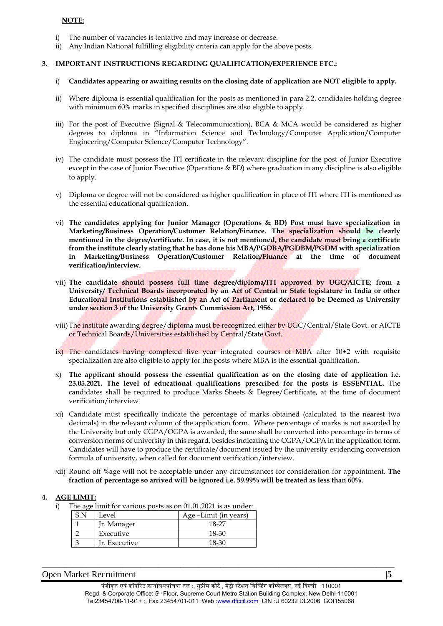#### **NOTE:**

- i) The number of vacancies is tentative and may increase or decrease.
- ii) Any Indian National fulfilling eligibility criteria can apply for the above posts.

#### **3. IMPORTANT INSTRUCTIONS REGARDING QUALIFICATION/EXPERIENCE ETC.:**

#### i) **Candidates appearing or awaiting results on the closing date of application are NOT eligible to apply.**

- ii) Where diploma is essential qualification for the posts as mentioned in para 2.2, candidates holding degree with minimum 60% marks in specified disciplines are also eligible to apply.
- iii) For the post of Executive (Signal & Telecommunication), BCA & MCA would be considered as higher degrees to diploma in "Information Science and Technology/Computer Application/Computer Engineering/Computer Science/Computer Technology".
- iv) The candidate must possess the ITI certificate in the relevant discipline for the post of Junior Executive except in the case of Junior Executive (Operations & BD) where graduation in any discipline is also eligible to apply.
- v) Diploma or degree will not be considered as higher qualification in place of ITI where ITI is mentioned as the essential educational qualification.
- vi) **The candidates applying for Junior Manager (Operations & BD) Post must have specialization in Marketing/Business Operation/Customer Relation/Finance. The specialization should be clearly mentioned in the degree/certificate. In case, it is not mentioned, the candidate must bring a certificate from the institute clearly stating that he has done his MBA/PGDBA/PGDBM/PGDM with specialization in Marketing/Business Operation/Customer Relation/Finance at the time of document verification/interview.**
- vii) **The candidate should possess full time degree/diploma/ITI approved by UGC/AICTE; from a University/ Technical Boards incorporated by an Act of Central or State legislature in India or other Educational Institutions established by an Act of Parliament or declared to be Deemed as University under section 3 of the University Grants Commission Act, 1956.**
- viii)The institute awarding degree/diploma must be recognized either by UGC/Central/State Govt. or AICTE or Technical Boards/Universities established by Central/State Govt.
- ix) The candidates having completed five year integrated courses of MBA after 10+2 with requisite specialization are also eligible to apply for the posts where MBA is the essential qualification.
- x) **The applicant should possess the essential qualification as on the closing date of application i.e. 23.05.2021. The level of educational qualifications prescribed for the posts is ESSENTIAL.** The candidates shall be required to produce Marks Sheets & Degree/Certificate, at the time of document verification/interview
- xi) Candidate must specifically indicate the percentage of marks obtained (calculated to the nearest two decimals) in the relevant column of the application form. Where percentage of marks is not awarded by the University but only CGPA/OGPA is awarded, the same shall be converted into percentage in terms of conversion norms of university in this regard, besides indicating the CGPA/OGPA in the application form. Candidates will have to produce the certificate/document issued by the university evidencing conversion formula of university, when called for document verification/interview.
- xii) Round off %age will not be acceptable under any circumstances for consideration for appointment. **The fraction of percentage so arrived will be ignored i.e. 59.99% will be treated as less than 60%**.

#### **4. AGE LIMIT:**

i) The age limit for various posts as on 01.01.2021 is as under:

| Level         | Age -Limit (in years) |
|---------------|-----------------------|
| Jr. Manager   | 18-27                 |
| Executive     | 18-30                 |
| Ir. Executive | 18-30                 |

#### Open Market Recruitment |**5**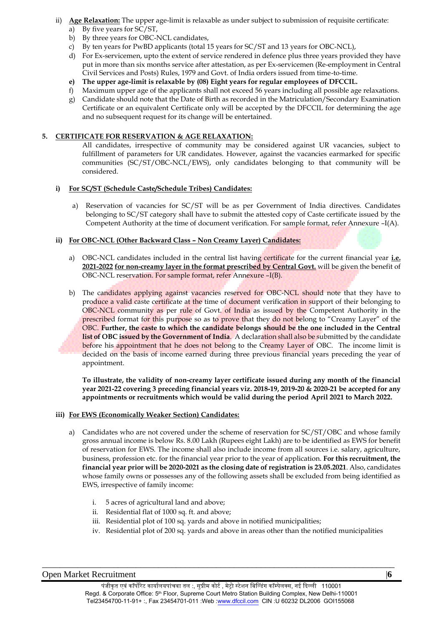- ii) **Age Relaxation:** The upper age-limit is relaxable as under subject to submission of requisite certificate:
	- a) By five years for SC/ST,
	- b) By three years for OBC-NCL candidates,
	- c) By ten years for PwBD applicants (total 15 years for SC/ST and 13 years for OBC-NCL),
	- d) For Ex-servicemen, upto the extent of service rendered in defence plus three years provided they have put in more than six months service after attestation, as per Ex-servicemen (Re-employment in Central Civil Services and Posts) Rules, 1979 and Govt. of India orders issued from time-to-time.
	-
	- **e) The upper age-limit is relaxable by (08) Eight years for regular employees of DFCCIL.**  Maximum upper age of the applicants shall not exceed 56 years including all possible age relaxations.
	- g) Candidate should note that the Date of Birth as recorded in the Matriculation/Secondary Examination Certificate or an equivalent Certificate only will be accepted by the DFCCIL for determining the age and no subsequent request for its change will be entertained.

## **5. CERTIFICATE FOR RESERVATION & AGE RELAXATION:**

All candidates, irrespective of community may be considered against UR vacancies, subject to fulfillment of parameters for UR candidates. However, against the vacancies earmarked for specific communities (SC/ST/OBC-NCL/EWS), only candidates belonging to that community will be considered.

## **i) For SC/ST (Schedule Caste/Schedule Tribes) Candidates:**

a) Reservation of vacancies for SC/ST will be as per Government of India directives. Candidates belonging to SC/ST category shall have to submit the attested copy of Caste certificate issued by the Competent Authority at the time of document verification. For sample format, refer Annexure –I(A).

## **ii) For OBC-NCL (Other Backward Class – Non Creamy Layer) Candidates:**

- a) OBC-NCL candidates included in the central list having certificate for the current financial year **i.e. 2021-2022 for non-creamy layer in the format prescribed by Central Govt.** will be given the benefit of OBC-NCL reservation. For sample format, refer Annexure –I(B).
- b) The candidates applying against vacancies reserved for OBC-NCL should note that they have to produce a valid caste certificate at the time of document verification in support of their belonging to OBC-NCL community as per rule of Govt. of India as issued by the Competent Authority in the prescribed format for this purpose so as to prove that they do not belong to "Creamy Layer" of the OBC. **Further, the caste to which the candidate belongs should be the one included in the Central list of OBC issued by the Government of India**. A declaration shall also be submitted by the candidate before his appointment that he does not belong to the Creamy Layer of OBC. The income limit is decided on the basis of income earned during three previous financial years preceding the year of appointment.

**To illustrate, the validity of non-creamy layer certificate issued during any month of the financial year 2021-22 covering 3 preceding financial years viz. 2018-19, 2019-20 & 2020-21 be accepted for any appointments or recruitments which would be valid during the period April 2021 to March 2022.**

## **iii) For EWS (Economically Weaker Section) Candidates:**

- a) Candidates who are not covered under the scheme of reservation for SC/ST/OBC and whose family gross annual income is below Rs. 8.00 Lakh (Rupees eight Lakh) are to be identified as EWS for benefit of reservation for EWS. The income shall also include income from all sources i.e. salary, agriculture, business, profession etc. for the financial year prior to the year of application. **For this recruitment, the financial year prior will be 2020-2021 as the closing date of registration is 23.05.2021**. Also, candidates whose family owns or possesses any of the following assets shall be excluded from being identified as EWS, irrespective of family income:
	- i. 5 acres of agricultural land and above;
	- ii. Residential flat of 1000 sq. ft. and above;
	- iii. Residential plot of 100 sq. yards and above in notified municipalities;
	- iv. Residential plot of 200 sq. yards and above in areas other than the notified municipalities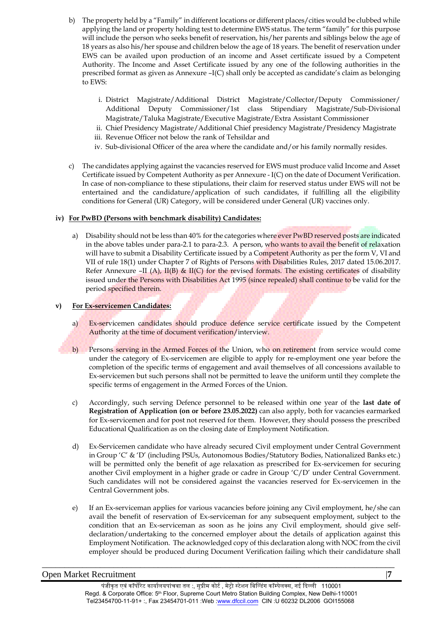- b) The property held by a "Family" in different locations or different places/cities would be clubbed while applying the land or property holding test to determine EWS status. The term "family" for this purpose will include the person who seeks benefit of reservation, his/her parents and siblings below the age of 18 years as also his/her spouse and children below the age of 18 years. The benefit of reservation under EWS can be availed upon production of an income and Asset certificate issued by a Competent Authority. The Income and Asset Certificate issued by any one of the following authorities in the prescribed format as given as Annexure –I(C) shall only be accepted as candidate's claim as belonging to EWS:
	- i. District Magistrate/Additional District Magistrate/Collector/Deputy Commissioner/ Additional Deputy Commissioner/1st class Stipendiary Magistrate/Sub-Divisional Magistrate/Taluka Magistrate/Executive Magistrate/Extra Assistant Commissioner
	- ii. Chief Presidency Magistrate/Additional Chief presidency Magistrate/Presidency Magistrate
	- iii. Revenue Officer not below the rank of Tehsildar and
	- iv. Sub-divisional Officer of the area where the candidate and/or his family normally resides.
- c) The candidates applying against the vacancies reserved for EWS must produce valid Income and Asset Certificate issued by Competent Authority as per Annexure - I(C) on the date of Document Verification. In case of non-compliance to these stipulations, their claim for reserved status under EWS will not be entertained and the candidature/application of such candidates, if fulfilling all the eligibility conditions for General (UR) Category, will be considered under General (UR) vaccines only.

## **iv) For PwBD (Persons with benchmark disability) Candidates:**

a) Disability should not be less than 40% for the categories where ever PwBD reserved posts are indicated in the above tables under para-2.1 to para-2.3. A person, who wants to avail the benefit of relaxation will have to submit a Disability Certificate issued by a Competent Authority as per the form V, VI and VII of rule 18(1) under Chapter 7 of Rights of Persons with Disabilities Rules, 2017 dated 15.06.2017. Refer Annexure –II (A), II(B) & II(C) for the revised formats. The existing certificates of disability issued under the Persons with Disabilities Act 1995 (since repealed) shall continue to be valid for the period specified therein.

#### **v) For Ex-servicemen Candidates:**

- a) Ex-servicemen candidates should produce defence service certificate issued by the Competent Authority at the time of document verification/interview.
- b) Persons serving in the Armed Forces of the Union, who on retirement from service would come under the category of Ex-servicemen are eligible to apply for re-employment one year before the completion of the specific terms of engagement and avail themselves of all concessions available to Ex-servicemen but such persons shall not be permitted to leave the uniform until they complete the specific terms of engagement in the Armed Forces of the Union.
- c) Accordingly, such serving Defence personnel to be released within one year of the **last date of Registration of Application (on or before 23.05.2022)** can also apply, both for vacancies earmarked for Ex-servicemen and for post not reserved for them. However, they should possess the prescribed Educational Qualification as on the closing date of Employment Notification.
- d) Ex-Servicemen candidate who have already secured Civil employment under Central Government in Group 'C' & 'D' (including PSUs, Autonomous Bodies/Statutory Bodies, Nationalized Banks etc.) will be permitted only the benefit of age relaxation as prescribed for Ex-servicemen for securing another Civil employment in a higher grade or cadre in Group 'C/D' under Central Government. Such candidates will not be considered against the vacancies reserved for Ex-servicemen in the Central Government jobs.
- e) If an Ex-serviceman applies for various vacancies before joining any Civil employment, he/she can avail the benefit of reservation of Ex-serviceman for any subsequent employment, subject to the condition that an Ex-serviceman as soon as he joins any Civil employment, should give selfdeclaration/undertaking to the concerned employer about the details of application against this Employment Notification. The acknowledged copy of this declaration along with NOC from the civil employer should be produced during Document Verification failing which their candidature shall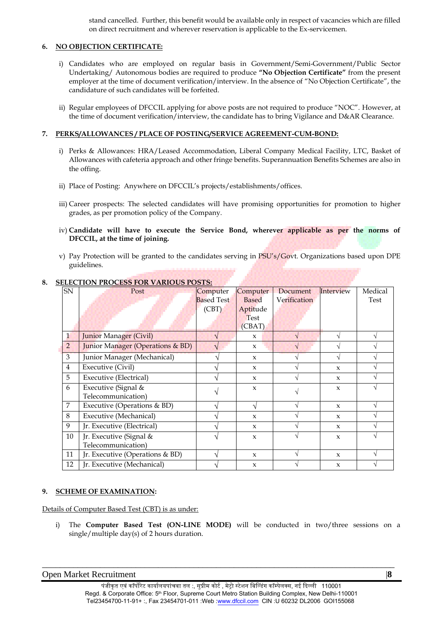stand cancelled. Further, this benefit would be available only in respect of vacancies which are filled on direct recruitment and wherever reservation is applicable to the Ex-servicemen.

## **6. NO OBJECTION CERTIFICATE:**

- i) Candidates who are employed on regular basis in Government/Semi-Government/Public Sector Undertaking/ Autonomous bodies are required to produce **"No Objection Certificate"** from the present employer at the time of document verification/interview. In the absence of "No Objection Certificate", the candidature of such candidates will be forfeited.
- ii) Regular employees of DFCCIL applying for above posts are not required to produce "NOC". However, at the time of document verification/interview, the candidate has to bring Vigilance and D&AR Clearance.

## **7. PERKS/ALLOWANCES / PLACE OF POSTING/SERVICE AGREEMENT-CUM-BOND:**

- i) Perks & Allowances: HRA/Leased Accommodation, Liberal Company Medical Facility, LTC, Basket of Allowances with cafeteria approach and other fringe benefits. Superannuation Benefits Schemes are also in the offing.
- ii) Place of Posting: Anywhere on DFCCIL's projects/establishments/offices.
- iii) Career prospects: The selected candidates will have promising opportunities for promotion to higher grades, as per promotion policy of the Company.
- iv) **Candidate will have to execute the Service Bond, wherever applicable as per the norms of DFCCIL, at the time of joining.**
- v) Pay Protection will be granted to the candidates serving in PSU's/Govt. Organizations based upon DPE guidelines.

| SN             | ELECTION TROCESS TON WHILE COTOS.<br>Post   | Computer          | Computer            | Document     | Interview           | Medical  |
|----------------|---------------------------------------------|-------------------|---------------------|--------------|---------------------|----------|
|                |                                             | <b>Based Test</b> | <b>Based</b>        | Verification |                     | Test     |
|                |                                             | (CBT)             | Aptitude            |              |                     |          |
|                |                                             |                   | <b>Test</b>         |              |                     |          |
|                |                                             |                   | (CBAT)              |              |                     |          |
| $\mathbf{1}$   | <b>Junior Manager (Civil)</b>               |                   | $\mathbf{x}$        |              | V                   | N        |
| $\overline{2}$ | <b>Junior Manager (Operations &amp; BD)</b> |                   | $\mathbf{x}$        |              | N                   |          |
| 3              | Junior Manager (Mechanical)                 |                   | $\mathbf{x}$        |              | N                   |          |
| $\overline{4}$ | Executive (Civil)                           |                   | $\mathbf{x}$        |              | $\boldsymbol{\chi}$ |          |
| 5              | <b>Executive (Electrical)</b>               |                   | $\mathbf{x}$        |              | $\mathbf{x}$        |          |
| 6              | Executive (Signal &                         |                   | $\mathbf{x}$        |              | $\mathbf{x}$        |          |
|                | Telecommunication)                          |                   |                     |              |                     |          |
| 7              | Executive (Operations & BD)                 |                   | N                   |              | $\mathbf{x}$        | $\Delta$ |
| 8              | Executive (Mechanical)                      |                   | $\mathbf{x}$        |              | $\mathbf{x}$        |          |
| 9              | Jr. Executive (Electrical)                  |                   | $\mathbf{x}$        |              | $\mathbf{x}$        |          |
| 10             | Jr. Executive (Signal &                     |                   | $\boldsymbol{\chi}$ |              | $\boldsymbol{\chi}$ |          |
|                | Telecommunication)                          |                   |                     |              |                     |          |
| 11             | Jr. Executive (Operations & BD)             |                   | $\mathbf{x}$        |              | $\mathbf{x}$        |          |
| 12             | Jr. Executive (Mechanical)                  |                   | $\boldsymbol{\chi}$ |              | $\boldsymbol{\chi}$ |          |

# **8. SELECTION PROCESS FOR VARIOUS POSTS:**

## **9. SCHEME OF EXAMINATION:**

Details of Computer Based Test (CBT) is as under:

i) The **Computer Based Test (ON-LINE MODE)** will be conducted in two/three sessions on a single/multiple day(s) of 2 hours duration.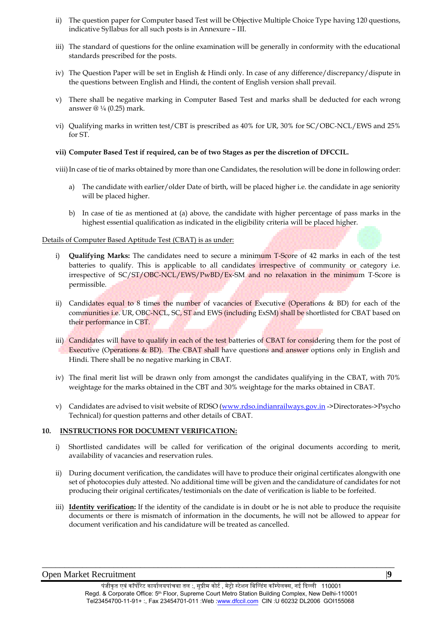- ii) The question paper for Computer based Test will be Objective Multiple Choice Type having 120 questions, indicative Syllabus for all such posts is in Annexure – III.
- iii) The standard of questions for the online examination will be generally in conformity with the educational standards prescribed for the posts.
- iv) The Question Paper will be set in English & Hindi only. In case of any difference/discrepancy/dispute in the questions between English and Hindi, the content of English version shall prevail.
- v) There shall be negative marking in Computer Based Test and marks shall be deducted for each wrong answer @ ¼ (0.25) mark.
- vi) Qualifying marks in written test/CBT is prescribed as 40% for UR, 30% for SC/OBC-NCL/EWS and 25% for ST.

#### **vii) Computer Based Test if required, can be of two Stages as per the discretion of DFCCIL.**

viii) In case of tie of marks obtained by more than one Candidates, the resolution will be done in following order:

- a) The candidate with earlier/older Date of birth, will be placed higher i.e. the candidate in age seniority will be placed higher.
- b) In case of tie as mentioned at (a) above, the candidate with higher percentage of pass marks in the highest essential qualification as indicated in the eligibility criteria will be placed higher.

#### Details of Computer Based Aptitude Test (CBAT) is as under:

- i) **Qualifying Marks:** The candidates need to secure a minimum T-Score of 42 marks in each of the test batteries to qualify. This is applicable to all candidates irrespective of community or category i.e. irrespective of SC/ST/OBC-NCL/EWS/PwBD/Ex-SM and no relaxation in the minimum T-Score is permissible.
- ii) Candidates equal to 8 times the number of vacancies of Executive (Operations & BD) for each of the communities i.e. UR, OBC-NCL, SC, ST and EWS (including ExSM) shall be shortlisted for CBAT based on their performance in CBT.
- iii) Candidates will have to qualify in each of the test batteries of CBAT for considering them for the post of Executive (Operations & BD). The CBAT shall have questions and answer options only in English and Hindi. There shall be no negative marking in CBAT.
- iv) The final merit list will be drawn only from amongst the candidates qualifying in the CBAT, with 70% weightage for the marks obtained in the CBT and 30% weightage for the marks obtained in CBAT.
- v) Candidates are advised to visit website of RDSO (www.rdso.indianrailways.gov.in ->Directorates->Psycho Technical) for question patterns and other details of CBAT.

#### **10. INSTRUCTIONS FOR DOCUMENT VERIFICATION:**

- i) Shortlisted candidates will be called for verification of the original documents according to merit, availability of vacancies and reservation rules.
- ii) During document verification, the candidates will have to produce their original certificates alongwith one set of photocopies duly attested. No additional time will be given and the candidature of candidates for not producing their original certificates/testimonials on the date of verification is liable to be forfeited.
- iii) **Identity verification:** If the identity of the candidate is in doubt or he is not able to produce the requisite documents or there is mismatch of information in the documents, he will not be allowed to appear for document verification and his candidature will be treated as cancelled.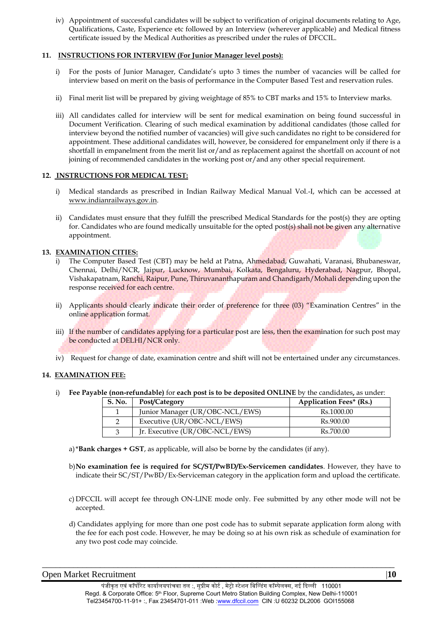iv) Appointment of successful candidates will be subject to verification of original documents relating to Age, Qualifications, Caste, Experience etc followed by an Interview (wherever applicable) and Medical fitness certificate issued by the Medical Authorities as prescribed under the rules of DFCCIL.

## **11. INSTRUCTIONS FOR INTERVIEW (For Junior Manager level posts):**

- i) For the posts of Junior Manager, Candidate's upto 3 times the number of vacancies will be called for interview based on merit on the basis of performance in the Computer Based Test and reservation rules.
- ii) Final merit list will be prepared by giving weightage of 85% to CBT marks and 15% to Interview marks.
- iii) All candidates called for interview will be sent for medical examination on being found successful in Document Verification. Clearing of such medical examination by additional candidates (those called for interview beyond the notified number of vacancies) will give such candidates no right to be considered for appointment. These additional candidates will, however, be considered for empanelment only if there is a shortfall in empanelment from the merit list or/and as replacement against the shortfall on account of not joining of recommended candidates in the working post or/and any other special requirement.

## **12. INSTRUCTIONS FOR MEDICAL TEST:**

- i) Medical standards as prescribed in Indian Railway Medical Manual Vol.-I, which can be accessed at www.indianrailways.gov.in.
- ii) Candidates must ensure that they fulfill the prescribed Medical Standards for the post(s) they are opting for. Candidates who are found medically unsuitable for the opted post(s) shall not be given any alternative appointment.

## **13. EXAMINATION CITIES:**

- i) The Computer Based Test (CBT) may be held at Patna, Ahmedabad, Guwahati, Varanasi, Bhubaneswar, Chennai, Delhi/NCR, Jaipur, Lucknow, Mumbai, Kolkata, Bengaluru, Hyderabad, Nagpur, Bhopal, Vishakapatnam, Ranchi, Raipur, Pune, Thiruvananthapuram and Chandigarh/Mohali depending upon the response received for each centre.
- ii) Applicants should clearly indicate their order of preference for three (03) "Examination Centres" in the online application format.
- iii) If the number of candidates applying for a particular post are less, then the examination for such post may be conducted at DELHI/NCR only.
- iv) Request for change of date, examination centre and shift will not be entertained under any circumstances.

## **14. EXAMINATION FEE:**

i) **Fee Payable (non-refundable)** for **each post is to be deposited ONLINE** by the candidates**,** as under:

| S. No. | Post/Category                   | <b>Application Fees* (Rs.)</b> |
|--------|---------------------------------|--------------------------------|
|        | Junior Manager (UR/OBC-NCL/EWS) | Rs.1000.00                     |
|        | Executive (UR/OBC-NCL/EWS)      | Rs.900.00                      |
|        | Jr. Executive (UR/OBC-NCL/EWS)  | Rs.700.00                      |

- a)\***Bank charges + GST**, as applicable, will also be borne by the candidates (if any).
- b)**No examination fee is required for SC/ST/PwBD/Ex-Servicemen candidates**. However, they have to indicate their SC/ST/PwBD/Ex-Serviceman category in the application form and upload the certificate.
- c) DFCCIL will accept fee through ON-LINE mode only. Fee submitted by any other mode will not be accepted.
- d) Candidates applying for more than one post code has to submit separate application form along with the fee for each post code. However, he may be doing so at his own risk as schedule of examination for any two post code may coincide.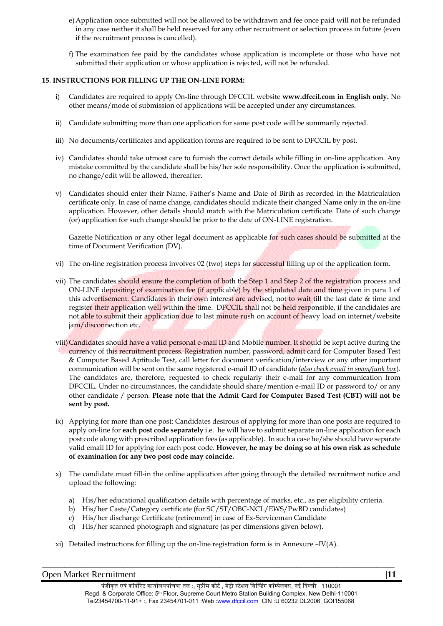- e)Application once submitted will not be allowed to be withdrawn and fee once paid will not be refunded in any case neither it shall be held reserved for any other recruitment or selection process in future (even if the recruitment process is cancelled).
- f) The examination fee paid by the candidates whose application is incomplete or those who have not submitted their application or whose application is rejected, will not be refunded.

## **15**. **INSTRUCTIONS FOR FILLING UP THE ON-LINE FORM:**

- i) Candidates are required to apply On-line through DFCCIL website **www.dfccil.com in English only.** No other means/mode of submission of applications will be accepted under any circumstances.
- ii) Candidate submitting more than one application for same post code will be summarily rejected.
- iii) No documents/certificates and application forms are required to be sent to DFCCIL by post.
- iv) Candidates should take utmost care to furnish the correct details while filling in on-line application. Any mistake committed by the candidate shall be his/her sole responsibility. Once the application is submitted, no change/edit will be allowed, thereafter.
- v) Candidates should enter their Name, Father's Name and Date of Birth as recorded in the Matriculation certificate only. In case of name change, candidates should indicate their changed Name only in the on-line application. However, other details should match with the Matriculation certificate. Date of such change (or) application for such change should be prior to the date of ON-LINE registration.

Gazette Notification or any other legal document as applicable for such cases should be submitted at the time of Document Verification (DV).

- vi) The on-line registration process involves 02 (two) steps for successful filling up of the application form.
- vii) The candidates should ensure the completion of both the Step 1 and Step 2 of the registration process and ON-LINE depositing of examination fee (if applicable) by the stipulated date and time given in para 1 of this advertisement. Candidates in their own interest are advised, not to wait till the last date & time and register their application well within the time. DFCCIL shall not be held responsible, if the candidates are not able to submit their application due to last minute rush on account of heavy load on internet/website jam/disconnection etc.
- viii) Candidates should have a valid personal e-mail ID and Mobile number. It should be kept active during the currency of this recruitment process. Registration number, password, admit card for Computer Based Test & Computer Based Aptitude Test, call letter for document verification/interview or any other important communication will be sent on the same registered e-mail ID of candidate (*also check email in spam/junk box*). The candidates are, therefore, requested to check regularly their e-mail for any communication from DFCCIL. Under no circumstances, the candidate should share/mention e-mail ID or password to/ or any other candidate / person. **Please note that the Admit Card for Computer Based Test (CBT) will not be sent by post.**
- ix) Applying for more than one post: Candidates desirous of applying for more than one posts are required to apply on-line for **each post code separately** i.e. he will have to submit separate on-line application for each post code along with prescribed application fees (as applicable).In such a case he/she should have separate valid email ID for applying for each post code. **However, he may be doing so at his own risk as schedule of examination for any two post code may coincide.**
- x) The candidate must fill-in the online application after going through the detailed recruitment notice and upload the following:
	- a) His/her educational qualification details with percentage of marks, etc., as per eligibility criteria.
	- b) His/her Caste/Category certificate (for SC/ST/OBC-NCL/EWS/PwBD candidates)
	- c) His/her discharge Certificate (retirement) in case of Ex-Serviceman Candidate
	- d) His/her scanned photograph and signature (as per dimensions given below).
- xi) Detailed instructions for filling up the on-line registration form is in Annexure –IV(A).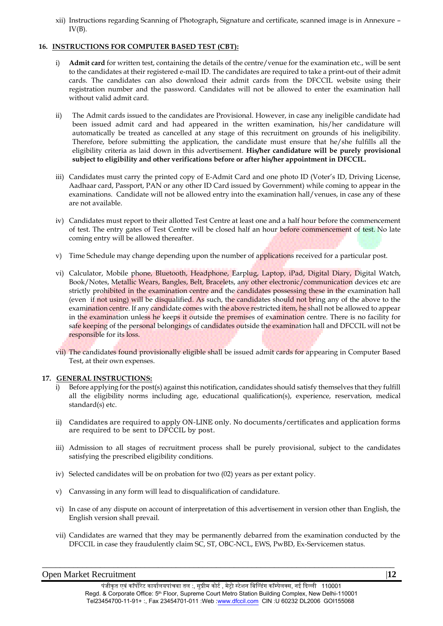xii) Instructions regarding Scanning of Photograph, Signature and certificate, scanned image is in Annexure –  $IV(B)$ .

## **16. INSTRUCTIONS FOR COMPUTER BASED TEST (CBT):**

- i) **Admit card** for written test, containing the details of the centre/venue for the examination etc., will be sent to the candidates at their registered e-mail ID. The candidates are required to take a print-out of their admit cards. The candidates can also download their admit cards from the DFCCIL website using their registration number and the password. Candidates will not be allowed to enter the examination hall without valid admit card.
- ii) The Admit cards issued to the candidates are Provisional. However, in case any ineligible candidate had been issued admit card and had appeared in the written examination, his/her candidature will automatically be treated as cancelled at any stage of this recruitment on grounds of his ineligibility. Therefore, before submitting the application, the candidate must ensure that he/she fulfills all the eligibility criteria as laid down in this advertisement. **His/her candidature will be purely provisional subject to eligibility and other verifications before or after his/her appointment in DFCCIL.**
- iii) Candidates must carry the printed copy of E-Admit Card and one photo ID (Voter's ID, Driving License, Aadhaar card, Passport, PAN or any other ID Card issued by Government) while coming to appear in the examinations. Candidate will not be allowed entry into the examination hall/venues, in case any of these are not available.
- iv) Candidates must report to their allotted Test Centre at least one and a half hour before the commencement of test. The entry gates of Test Centre will be closed half an hour before commencement of test. No late coming entry will be allowed thereafter.
- v) Time Schedule may change depending upon the number of applications received for a particular post.
- vi) Calculator, Mobile phone, Bluetooth, Headphone, Earplug, Laptop, iPad, Digital Diary, Digital Watch, Book/Notes, Metallic Wears, Bangles, Belt, Bracelets, any other electronic/communication devices etc are strictly prohibited in the examination centre and the candidates possessing these in the examination hall (even if not using) will be disqualified. As such, the candidates should not bring any of the above to the examination centre. If any candidate comes with the above restricted item, he shall not be allowed to appear in the examination unless he keeps it outside the premises of examination centre. There is no facility for safe keeping of the personal belongings of candidates outside the examination hall and DFCCIL will not be responsible for its loss.
- vii) The candidates found provisionally eligible shall be issued admit cards for appearing in Computer Based Test, at their own expenses.

#### **17. GENERAL INSTRUCTIONS:**

- i) Before applying for the post(s) against this notification, candidates should satisfy themselves that they fulfill all the eligibility norms including age, educational qualification(s), experience, reservation, medical standard(s) etc.
- ii) Candidates are required to apply ON-LINE only. No documents/certificates and application forms are required to be sent to DFCCIL by post.
- iii) Admission to all stages of recruitment process shall be purely provisional, subject to the candidates satisfying the prescribed eligibility conditions.
- iv) Selected candidates will be on probation for two (02) years as per extant policy.
- v) Canvassing in any form will lead to disqualification of candidature.
- vi) In case of any dispute on account of interpretation of this advertisement in version other than English, the English version shall prevail.
- vii) Candidates are warned that they may be permanently debarred from the examination conducted by the DFCCIL in case they fraudulently claim SC, ST, OBC-NCL, EWS, PwBD, Ex-Servicemen status.

## Open Market Recruitment |**12**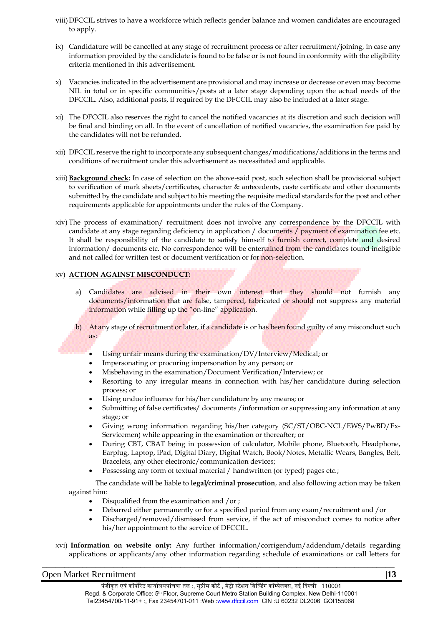- viii)DFCCIL strives to have a workforce which reflects gender balance and women candidates are encouraged to apply.
- ix) Candidature will be cancelled at any stage of recruitment process or after recruitment/joining, in case any information provided by the candidate is found to be false or is not found in conformity with the eligibility criteria mentioned in this advertisement.
- x) Vacancies indicated in the advertisement are provisional and may increase or decrease or even may become NIL in total or in specific communities/posts at a later stage depending upon the actual needs of the DFCCIL. Also, additional posts, if required by the DFCCIL may also be included at a later stage.
- xi) The DFCCIL also reserves the right to cancel the notified vacancies at its discretion and such decision will be final and binding on all. In the event of cancellation of notified vacancies, the examination fee paid by the candidates will not be refunded.
- xii) DFCCIL reserve the right to incorporate any subsequent changes/modifications/additions in the terms and conditions of recruitment under this advertisement as necessitated and applicable.
- xiii) **Background check:** In case of selection on the above-said post, such selection shall be provisional subject to verification of mark sheets/certificates, character & antecedents, caste certificate and other documents submitted by the candidate and subject to his meeting the requisite medical standards for the post and other requirements applicable for appointments under the rules of the Company.
- xiv) The process of examination/ recruitment does not involve any correspondence by the DFCCIL with candidate at any stage regarding deficiency in application / documents / payment of examination fee etc. It shall be responsibility of the candidate to satisfy himself to furnish correct, complete and desired information/ documents etc. No correspondence will be entertained from the candidates found ineligible and not called for written test or document verification or for non-selection.

## xv) **ACTION AGAINST MISCONDUCT:**

- a) Candidates are advised in their own interest that they should not furnish any documents/information that are false, tampered, fabricated or should not suppress any material information while filling up the "on-line" application.
- b) At any stage of recruitment or later, if a candidate is or has been found guilty of any misconduct such as:
	- Using unfair means during the examination/DV/Interview/Medical; or
	- Impersonating or procuring impersonation by any person; or
	- Misbehaving in the examination/Document Verification/Interview; or
	- Resorting to any irregular means in connection with his/her candidature during selection process; or
	- Using undue influence for his/her candidature by any means; or
	- Submitting of false certificates/ documents /information or suppressing any information at any stage; or
	- Giving wrong information regarding his/her category (SC/ST/OBC-NCL/EWS/PwBD/Ex-Servicemen) while appearing in the examination or thereafter; or
	- During CBT, CBAT being in possession of calculator, Mobile phone, Bluetooth, Headphone, Earplug, Laptop, iPad, Digital Diary, Digital Watch, Book/Notes, Metallic Wears, Bangles, Belt, Bracelets, any other electronic/communication devices;
	- Possessing any form of textual material / handwritten (or typed) pages etc.;

The candidate will be liable to **legal/criminal prosecution**, and also following action may be taken against him:

- Disqualified from the examination and /or ;
- Debarred either permanently or for a specified period from any exam/recruitment and /or
- Discharged/removed/dismissed from service, if the act of misconduct comes to notice after his/her appointment to the service of DFCCIL.
- xvi) **Information on website only:** Any further information/corrigendum/addendum/details regarding applications or applicants/any other information regarding schedule of examinations or call letters for

## Open Market Recruitment |**13**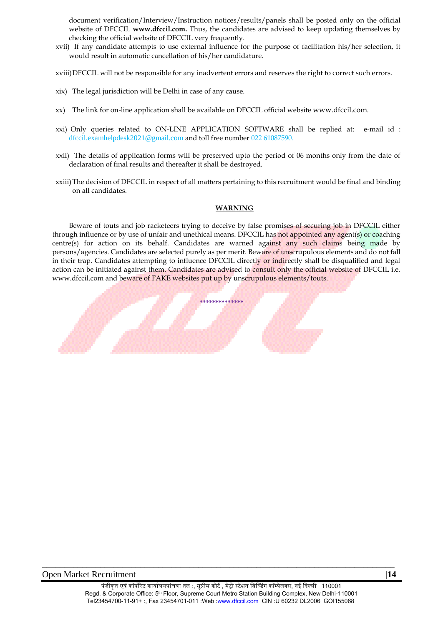document verification/Interview/Instruction notices/results/panels shall be posted only on the official website of DFCCIL **www.dfccil.com.** Thus, the candidates are advised to keep updating themselves by checking the official website of DFCCIL very frequently.

xvii) If any candidate attempts to use external influence for the purpose of facilitation his/her selection, it would result in automatic cancellation of his/her candidature.

xviii)DFCCIL will not be responsible for any inadvertent errors and reserves the right to correct such errors.

- xix) The legal jurisdiction will be Delhi in case of any cause.
- xx) The link for on-line application shall be available on DFCCIL official website www.dfccil.com.
- xxi) Only queries related to ON-LINE APPLICATION SOFTWARE shall be replied at: e-mail id : dfccil.examhelpdesk2021@gmail.com and toll free number 022 61087590.
- xxii) The details of application forms will be preserved upto the period of 06 months only from the date of declaration of final results and thereafter it shall be destroyed.
- xxiii)The decision of DFCCIL in respect of all matters pertaining to this recruitment would be final and binding on all candidates.

#### **WARNING**

Beware of touts and job racketeers trying to deceive by false promises of securing job in DFCCIL either through influence or by use of unfair and unethical means. DFCCIL has not appointed any agent(s) or coaching centre(s) for action on its behalf. Candidates are warned against any such claims being made by persons/agencies. Candidates are selected purely as per merit. Beware of unscrupulous elements and do not fall in their trap. Candidates attempting to influence DFCCIL directly or indirectly shall be disqualified and legal action can be initiated against them. Candidates are advised to consult only the official website of DFCCIL i.e. www.dfccil.com and beware of FAKE websites put up by unscrupulous elements/touts.

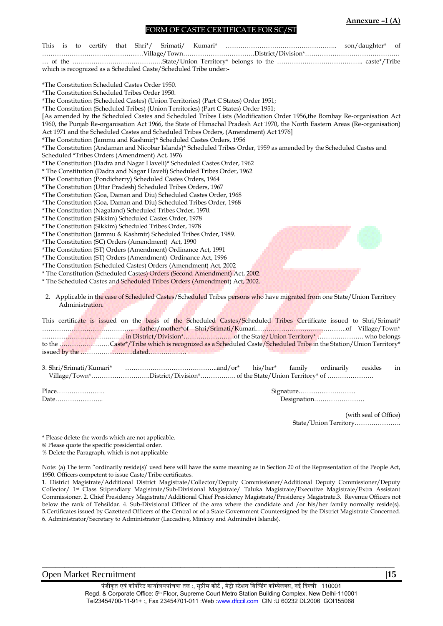#### **Annexure –I (A)**

#### FORM OF CASTE CERTIFICATE FOR SC/ST

|                                                                                                                              | of                                    |
|------------------------------------------------------------------------------------------------------------------------------|---------------------------------------|
|                                                                                                                              |                                       |
|                                                                                                                              |                                       |
| which is recognized as a Scheduled Caste/Scheduled Tribe under:-                                                             |                                       |
|                                                                                                                              |                                       |
| *The Constitution Scheduled Castes Order 1950.                                                                               |                                       |
| *The Constitution Scheduled Tribes Order 1950.                                                                               |                                       |
| *The Constitution (Scheduled Castes) (Union Territories) (Part C States) Order 1951;                                         |                                       |
| *The Constitution (Scheduled Tribes) (Union Territories) (Part C States) Order 1951;                                         |                                       |
| [As amended by the Scheduled Castes and Scheduled Tribes Lists (Modification Order 1956,the Bombay Re-organisation Act       |                                       |
| 1960, the Punjab Re-organisation Act 1966, the State of Himachal Pradesh Act 1970, the North Eastern Areas (Re-organisation) |                                       |
| Act 1971 and the Scheduled Castes and Scheduled Tribes Orders, (Amendment) Act 1976                                          |                                       |
| *The Constitution (Jammu and Kashmir)* Scheduled Castes Orders, 1956                                                         |                                       |
| *The Constitution (Andaman and Nicobar Islands)* Scheduled Tribes Order, 1959 as amended by the Scheduled Castes and         |                                       |
| Scheduled *Tribes Orders (Amendment) Act, 1976                                                                               |                                       |
| *The Constitution (Dadra and Nagar Haveli)* Scheduled Castes Order, 1962                                                     |                                       |
| * The Constitution (Dadra and Nagar Haveli) Scheduled Tribes Order, 1962                                                     |                                       |
| *The Constitution (Pondicherry) Scheduled Castes Orders, 1964                                                                |                                       |
| *The Constitution (Uttar Pradesh) Scheduled Tribes Orders, 1967                                                              |                                       |
| *The Constitution (Goa, Daman and Diu) Scheduled Castes Order, 1968                                                          |                                       |
| *The Constitution (Goa, Daman and Diu) Scheduled Tribes Order, 1968                                                          |                                       |
| *The Constitution (Nagaland) Scheduled Tribes Order, 1970.                                                                   |                                       |
| *The Constitution (Sikkim) Scheduled Castes Order, 1978                                                                      |                                       |
| *The Constitution (Sikkim) Scheduled Tribes Order, 1978                                                                      |                                       |
| *The Constitution (Jammu & Kashmir) Scheduled Tribes Order, 1989.                                                            |                                       |
| *The Constitution (SC) Orders (Amendment) Act, 1990                                                                          |                                       |
| *The Constitution (ST) Orders (Amendment) Ordinance Act, 1991                                                                |                                       |
| *The Constitution (ST) Orders (Amendment) Ordinance Act, 1996                                                                |                                       |
| *The Constitution (Scheduled Castes) Orders (Amendment) Act, 2002                                                            |                                       |
| * The Constitution (Scheduled Castes) Orders (Second Amendment) Act, 2002.                                                   |                                       |
| * The Scheduled Castes and Scheduled Tribes Orders (Amendment) Act, 2002.                                                    |                                       |
|                                                                                                                              |                                       |
| 2. Applicable in the case of Scheduled Castes/Scheduled Tribes persons who have migrated from one State/Union Territory      |                                       |
| Administration.                                                                                                              |                                       |
|                                                                                                                              |                                       |
| This certificate is issued on the basis of the Scheduled Castes/Scheduled Tribes Certificate issued to Shri/Srimati*         |                                       |
|                                                                                                                              |                                       |
|                                                                                                                              |                                       |
| to the Caste*/Tribe which is recognized as a Scheduled Caste/Scheduled Tribe in the Station/Union Territory*                 |                                       |
|                                                                                                                              |                                       |
|                                                                                                                              |                                       |
| 3. Shri/Srimati/Kumari*<br>his/her*                                                                                          | ordinarily<br>resides<br>family<br>in |
| Village/Town*District/Division* of the State/Union Territory* of                                                             |                                       |
|                                                                                                                              |                                       |
|                                                                                                                              | Signature                             |
| Date                                                                                                                         | Designation                           |
|                                                                                                                              |                                       |
|                                                                                                                              | (with seal of Office)                 |

State/Union Territory………………….

\* Please delete the words which are not applicable.

@ Please quote the specific presidential order.

% Delete the Paragraph, which is not applicable

Note: (a) The term "ordinarily reside(s)' used here will have the same meaning as in Section 20 of the Representation of the People Act, 1950. Officers competent to issue Caste/Tribe certificates.

1. District Magistrate/Additional District Magistrate/Collector/Deputy Commissioner/Additional Deputy Commissioner/Deputy Collector/ 1st Class Stipendiary Magistrate/Sub-Divisional Magistrate/ Taluka Magistrate/Executive Magistrate/Extra Assistant Commissioner. 2. Chief Presidency Magistrate/Additional Chief Presidency Magistrate/Presidency Magistrate.3. Revenue Officers not below the rank of Tehsildar. 4. Sub-Divisional Officer of the area where the candidate and /or his/her family normally reside(s). 5.Certificates issued by Gazetteed Officers of the Central or of a State Government Countersigned by the District Magistrate Concerned. 6. Administrator/Secretary to Administrator (Laccadive, Minicoy and Admindivi Islands).

## Open Market Recruitment | 15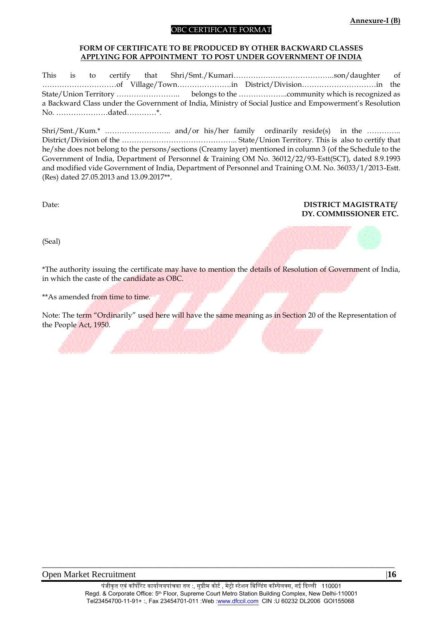## **Annexure-I (B)**

#### OBC CERTIFICATE FORMAT

#### **FORM OF CERTIFICATE TO BE PRODUCED BY OTHER BACKWARD CLASSES APPLYING FOR APPOINTMENT TO POST UNDER GOVERNMENT OF INDIA**

This is to certify that Shri/Smt./Kumari…………………………………..son/daughter of …………………………of Village/Town………………….in District/Division…………………………in the State/Union Territory …………………….. belongs to the ………………..community which is recognized as a Backward Class under the Government of India, Ministry of Social Justice and Empowerment's Resolution No. …………………dated…………\*.

Shri/Smt./Kum.\* .…………………….. and/or his/her family ordinarily reside(s) in the ………….. District/Division of the ……………………………………….. State/Union Territory. This is also to certify that he/she does not belong to the persons/sections (Creamy layer) mentioned in column 3 (of the Schedule to the Government of India, Department of Personnel & Training OM No. 36012/22/93-Estt(SCT), dated 8.9.1993 and modified vide Government of India, Department of Personnel and Training O.M. No. 36033/1/2013-Estt. (Res) dated 27.05.2013 and 13.09.2017\*\*.

## Date: **DISTRICT MAGISTRATE/ DY. COMMISSIONER ETC.**

(Seal)



\*The authority issuing the certificate may have to mention the details of Resolution of Government of India, in which the caste of the candidate as OBC.

\*\*As amended from time to time.

Note: The term "Ordinarily" used here will have the same meaning as in Section 20 of the Representation of the People Act, 1950.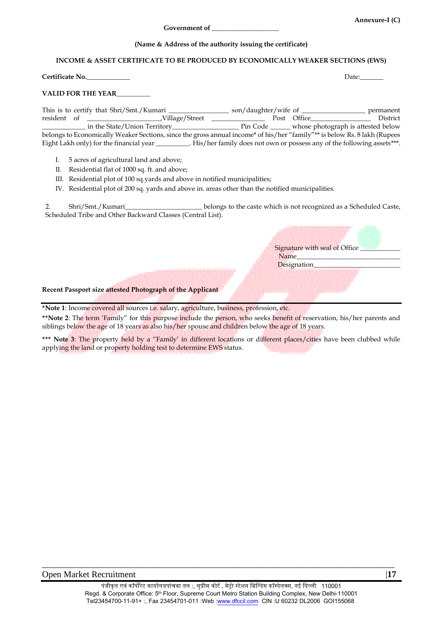**Annexure-I (C)**

#### **(Name & Address of the authority issuing the certificate)**

#### **INCOME & ASSET CERTIFICATE TO BE PRODUCED BY ECONOMICALLY WEAKER SECTIONS (EWS)**

**Certificate No.** Date: Denote the Music of the Music of the Music of the Music of the Music of the Date:

Signature with seal of Office

Name Designation\_

#### **VALID FOR THE YEAR**\_\_\_\_\_\_\_\_\_\_

This is to certify that Shri/Smt./Kumari \_\_\_\_\_\_\_\_\_\_\_\_\_\_\_\_\_\_ son/daughter/wife of \_\_\_\_\_\_\_\_\_\_\_\_\_\_\_\_\_\_\_ permanent resident of \_\_\_\_\_\_\_\_\_\_\_\_\_\_\_\_\_\_\_\_\_\_,Village/Street \_\_\_\_\_\_\_\_\_\_\_\_\_\_\_\_ Post Office\_\_\_\_\_\_\_\_\_\_\_\_\_\_\_\_\_\_ District \_\_\_\_\_\_\_\_\_\_\_\_\_ in the State/Union Territory\_\_\_\_\_\_\_\_\_\_\_\_\_\_\_\_\_\_\_\_ Pin Code \_\_\_\_\_\_ whose photograph is attested below belongs to Economically Weaker Sections, since the gross annual income\* of his/her "family"\*\* is below Rs. 8 lakh (Rupees Eight Lakh only) for the financial year \_\_\_\_\_\_\_\_\_. His/her family does not own or possess any of the following assets\*\*\*.

- I. 5 acres of agricultural land and above;
- II. Residential flat of 1000 sq. ft. and above;
- III. Residential plot of 100 sq.yards and above in notified municipalities;
- IV. Residential plot of 200 sq. yards and above in. areas other than the notified municipalities.

2. Shri/Smt./Kumari\_\_\_\_\_\_\_\_\_\_\_\_\_\_\_\_\_\_\_\_\_\_\_ belongs to the caste which is not recognized as a Scheduled Caste, Scheduled Tribe and Other Backward Classes (Central List).

#### **Recent Passport size attested Photograph of the Applicant**

**\*Note 1**: Income covered all sources i.e. salary, agriculture, business, profession, etc.

**\*\*Note 2**: The term 'Family" for this purpose include the person, who seeks benefit of reservation, his/her parents and siblings below the age of 18 years as also his/her spouse and children below the age of 18 years.

\*\*\* Note 3: The property held by a "Family' in different locations or different places/cities have been clubbed while applying the land or property holding test to determine EWS status.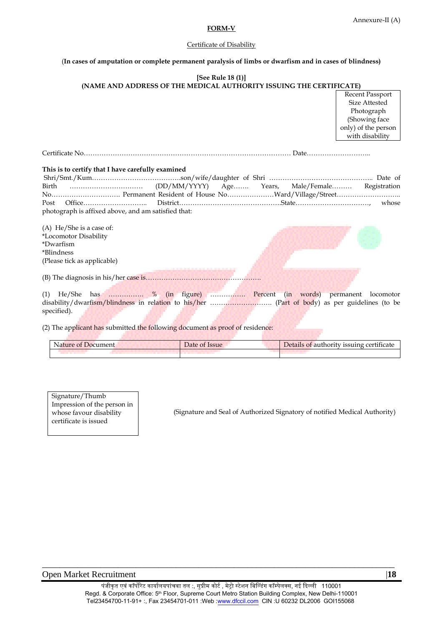#### Annexure-II (A)

#### **FORM-V**

## Certificate of Disability

#### (**In cases of amputation or complete permanent paralysis of limbs or dwarfism and in cases of blindness)**

## **[See Rule 18 (1)] (NAME AND ADDRESS OF THE MEDICAL AUTHORITY ISSUING THE CERTIFICATE)** Certificate No………………………………………………………………………………… Date……………………….. **This is to certify that I have carefully examined** Shri/Smt./Kum………………………………….son/wife/daughter of Shri ……………………………………….. Date of Birth …………………………… (DD/MM/YYYY) Age……. Years, Male/Female……… Registration No…………………………. Permanent Resident of House No…………………Ward/Village/Street……………………….. Post Office……………………….. District……………………………………….State……………………………, whose photograph is affixed above, and am satisfied that: (A) He/She is a case of: \*Locomotor Disability \*Dwarfism \*Blindness Recent Passport Size Attested Photograph (Showing face only) of the person with disability

(Please tick as applicable)

(B) The diagnosis in his/her case is…………………………………………….

(1) He/She has ……………. % (in figure) ……………. Percent (in words) permanent locomotor disability/dwarfism/blindness in relation to his/her ………………………. (Part of body) as per guidelines (to be specified).

(2) The applicant has submitted the following document as proof of residence:

| Nature of Document | <i>D</i> ate of Issue | Details of authority issuing certificate |
|--------------------|-----------------------|------------------------------------------|
|                    |                       |                                          |

Signature/Thumb Impression of the person in whose favour disability certificate is issued

(Signature and Seal of Authorized Signatory of notified Medical Authority)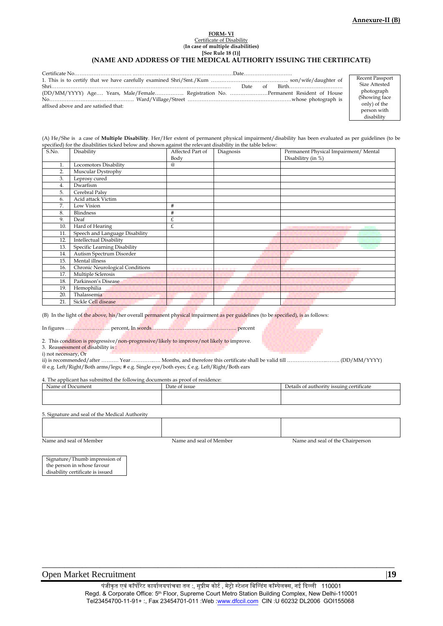#### **FORM- VI** Certificate of Disability (**In case of multiple disabilities) [See Rule 18 (1)]**

#### **(NAME AND ADDRESS OF THE MEDICAL AUTHORITY ISSUING THE CERTIFICATE)**

| (DD/MM/YYYY) Age Years, Male/Female Registration No. Permanent Resident of House |  |
|----------------------------------------------------------------------------------|--|
|                                                                                  |  |
| affixed above and are satisfied that:                                            |  |

Recent Passport Size Attested photograph (Showing face only) of the person with disability

(A) He/She is a case of **Multiple Disability**. Her/Her extent of permanent physical impairment/disability has been evaluated as per guidelines (to be specified) for the disabilities ticked below and shown against the relevant disability in the table below:

| S.No. | Disability                      | Affected Part of | Diagnosis | Permanent Physical Impairment/ Mental |
|-------|---------------------------------|------------------|-----------|---------------------------------------|
|       |                                 | Body             |           | Disabilitry (in %)                    |
| 1.    | Locomotors Disability           | $^{\circledR}$   |           |                                       |
| 2.    | Muscular Dystrophy              |                  |           |                                       |
| 3.    | Leprosy cured                   |                  |           |                                       |
| 4.    | Dwarfism                        |                  |           |                                       |
| 5.    | Cerebral Palsy                  |                  |           |                                       |
| 6.    | Acid attack Victim              |                  |           |                                       |
| 7.    | Low Vision                      | #                |           |                                       |
| 8.    | <b>Blindness</b>                | #                |           |                                       |
| 9.    | Deaf                            | £                |           |                                       |
| 10.   | Hard of Hearing                 | £                |           |                                       |
| 11.   | Speech and Language Disability  |                  |           |                                       |
| 12.   | <b>Intellectual Disability</b>  |                  |           |                                       |
| 13.   | Specific Learning Disability    |                  |           |                                       |
| 14.   | Autism Spectrum Disorder        |                  |           |                                       |
| 15.   | Mental illness                  |                  |           |                                       |
| 16.   | Chronic Neurological Conditions | .                | .         |                                       |
| 17.   | Multiple Sclerosis              |                  |           |                                       |
| 18.   | Parkinson's Disease             |                  |           |                                       |
| 19.   | Hemophilia                      |                  |           |                                       |
| 20.   | Thalassemia                     |                  |           |                                       |
| 21.   | Sickle Cell disease             |                  |           |                                       |

(B) In the light of the above, his/her overall permanent physical impairment as per guidelines (to be specified), is as follows:

In figures ……………..……… percent, In words…………………………..……….…….. percent

2. This condition is progressive/non-progressive/likely to improve/not likely to improve.

3. Reassessment of disability is :

i) not necessary, Or

ii) is recommended/after ………. Year…………..…. Months, and therefore this certificate shall be valid till …………………..…….. (DD/MM/YYYY) @ e.g. Left/Right/Both arms/legs; # e.g. Single eye/both eyes; £ e.g. Left/Right/Both ears

4. The applicant has submitted the following documents as proof of residence:

| Name of<br>Document | Date of issue | $\sqrt{ }$<br>Details of authority issuing certificate |  |  |  |
|---------------------|---------------|--------------------------------------------------------|--|--|--|
|                     |               |                                                        |  |  |  |
|                     |               |                                                        |  |  |  |

5. Signature and seal of the Medical Authority

Name and seal of Member Name and seal of Member Name and seal of Member Name and seal of the Chairperson

Signature/Thumb impression of the person in whose favour disability certificate is issued

Open Market Recruitment |**19**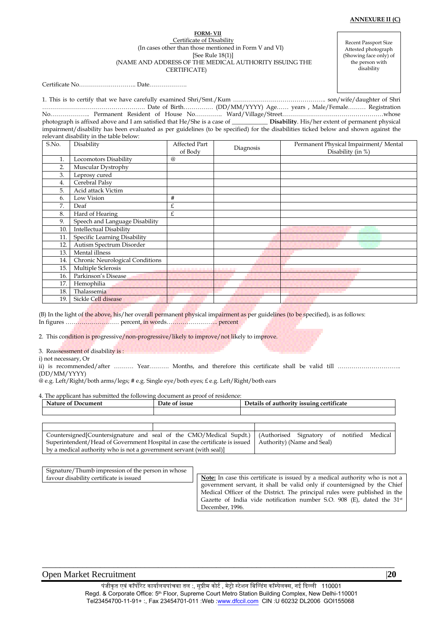#### **FORM- VII** Certificate of Disability (In cases other than those mentioned in Form V and VI) [See Rule 18(1)] (NAME AND ADDRESS OF THE MEDICAL AUTHORITY ISSUING THE CERTIFICATE)

Recent Passport Size Attested photograph (Showing face only) of the person with disability

Certificate No……………………….. Date……………….

1. This is to certify that we have carefully examined Shri/Smt./Kum ……………………………………….. son/wife/daughter of Shri ……………………………………………. Date of Birth…………… (DD/MM/YYYY) Age…… years , Male/Female……… Registration No……………….. Permanent Resident of House No………….. Ward/Village/Street……………………………………………whose photograph is affixed above and I am satisfied that He/She is a case of  $\_\_$ impairment/disability has been evaluated as per guidelines (to be specified) for the disabilities ticked below and shown against the relevant disability in the table below:

| S.No. | Disability                             | Affected Part | Diagnosis | Permanent Physical Impairment/ Mental |  |  |  |  |
|-------|----------------------------------------|---------------|-----------|---------------------------------------|--|--|--|--|
|       |                                        | of Body       |           | Disability (in %)                     |  |  |  |  |
| 1.    | Locomotors Disability                  | @             |           |                                       |  |  |  |  |
| 2.    | Muscular Dystrophy                     |               |           |                                       |  |  |  |  |
| 3.    | Leprosy cured                          |               |           |                                       |  |  |  |  |
| 4.    | Cerebral Palsy                         |               |           |                                       |  |  |  |  |
| 5.    | Acid attack Victim                     |               |           |                                       |  |  |  |  |
| 6.    | Low Vision                             | #             |           |                                       |  |  |  |  |
| 7.    | Deaf                                   | £             |           |                                       |  |  |  |  |
| 8.    | Hard of Hearing                        | £             |           |                                       |  |  |  |  |
| 9.    | Speech and Language Disability         |               |           |                                       |  |  |  |  |
| 10.   | <b>Intellectual Disability</b>         |               |           |                                       |  |  |  |  |
| 11.   | Specific Learning Disability           |               |           |                                       |  |  |  |  |
| 12.   | Autism Spectrum Disorder               |               |           |                                       |  |  |  |  |
| 13.   | Mental illness                         |               |           |                                       |  |  |  |  |
| 14.   | <b>Chronic Neurological Conditions</b> |               |           |                                       |  |  |  |  |
| 15.   | Multiple Sclerosis                     |               |           |                                       |  |  |  |  |
| 16.   | Parkinson's Disease                    |               |           |                                       |  |  |  |  |
| 17.   | Hemophilia                             |               |           |                                       |  |  |  |  |
| 18.   | Thalassemia                            |               |           |                                       |  |  |  |  |
| 19.   | Sickle Cell disease                    |               |           |                                       |  |  |  |  |

(B) In the light of the above, his/her overall permanent physical impairment as per guidelines (to be specified), is as follows: In figures ……………………… percent, in words…………………….. percent

2. This condition is progressive/non-progressive/likely to improve/not likely to improve.

3. Reassessment of disability is :

i) not necessary, Or

ii) is recommended/after ………. Year………. Months, and therefore this certificate shall be valid till ………………………….. (DD/MM/YYYY)

@ e.g. Left/Right/both arms/legs; # e.g. Single eye/both eyes; £ e.g. Left/Right/both ears

4. The applicant has submitted the following document as proof of residence:

| <b>Nature of Document</b>                                                                                      | Date of issue |  | Details of authority issuing certificate |  |  |  |
|----------------------------------------------------------------------------------------------------------------|---------------|--|------------------------------------------|--|--|--|
|                                                                                                                |               |  |                                          |  |  |  |
|                                                                                                                |               |  |                                          |  |  |  |
|                                                                                                                |               |  |                                          |  |  |  |
| Countersigned[Countersignature and seal of the CMO/Medical Supdt.)   (Authorised Signatory of notified Medical |               |  |                                          |  |  |  |

Superintendent/Head of Government Hospital in case the certificate is issued Authority) (Name and Seal) by a medical authority who is not a government servant (with seal)]

Signature/Thumb impression of the person in whose favour disability certificate is issued

**Note:** In case this certificate is issued by a medical authority who is not a government servant, it shall be valid only if countersigned by the Chief Medical Officer of the District. The principal rules were published in the Gazette of India vide notification number S.O. 908 (E), dated the 31<sup>st</sup> December, 1996.

## Open Market Recruitment |**20**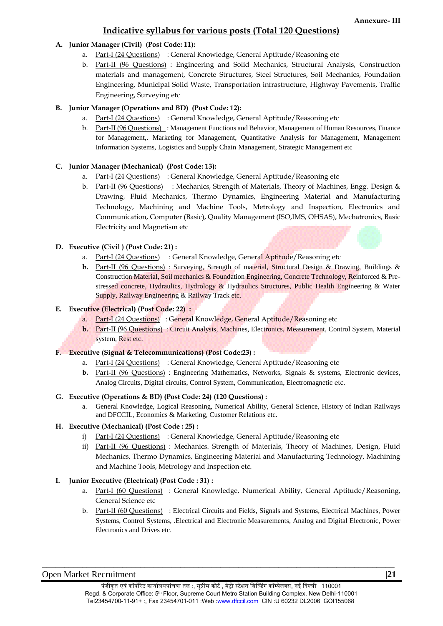# **Indicative syllabus for various posts (Total 120 Questions)**

## **A. Junior Manager (Civil) (Post Code: 11):**

- a. Part-I (24 Questions) : General Knowledge, General Aptitude/Reasoning etc
- b. Part-II (96 Questions) : Engineering and Solid Mechanics, Structural Analysis, Construction materials and management, Concrete Structures, Steel Structures, Soil Mechanics, Foundation Engineering, Municipal Solid Waste, Transportation infrastructure, Highway Pavements, Traffic Engineering, Surveying etc

# **B. Junior Manager (Operations and BD) (Post Code: 12):**

- a. Part-I (24 Questions) : General Knowledge, General Aptitude/Reasoning etc
- b. Part-II (96 Questions) : Management Functions and Behavior, Management of Human Resources, Finance for Management,. Marketing for Management, Quantitative Analysis for Management, Management Information Systems, Logistics and Supply Chain Management, Strategic Management etc

# **C. Junior Manager (Mechanical) (Post Code: 13):**

- a. Part-I (24 Questions) : General Knowledge, General Aptitude/Reasoning etc
- b. Part-II (96 Questions) : Mechanics, Strength of Materials, Theory of Machines, Engg. Design & Drawing, Fluid Mechanics, Thermo Dynamics, Engineering Material and Manufacturing Technology, Machining and Machine Tools, Metrology and Inspection, Electronics and Communication, Computer (Basic), Quality Management (ISO,IMS, OHSAS), Mechatronics, Basic Electricity and Magnetism etc
- **D. Executive (Civil ) (Post Code: 21) :**
	- a. Part-I (24 Questions) : General Knowledge, General Aptitude/Reasoning etc
	- **b.** Part-II (96 Questions) : Surveying, Strength of material, Structural Design & Drawing, Buildings & Construction Material, Soil mechanics & Foundation Engineering, Concrete Technology, Reinforced & Prestressed concrete, Hydraulics, Hydrology & Hydraulics Structures, Public Health Engineering & Water Supply, Railway Engineering & Railway Track etc.

## **E. Executive (Electrical) (Post Code: 22) :**

- a. Part-I (24 Questions) : General Knowledge, General Aptitude/Reasoning etc
- **b.** Part-II (96 Questions) : Circuit Analysis, Machines, Electronics, Measurement, Control System, Material system, Rest etc.

## **F. Executive (Signal & Telecommunications) (Post Code:23) :**

- a. Part-I (24 Questions) : General Knowledge, General Aptitude/Reasoning etc
- **b.** Part-II (96 Questions) : Engineering Mathematics, Networks, Signals & systems, Electronic devices, Analog Circuits, Digital circuits, Control System, Communication, Electromagnetic etc.

## **G. Executive (Operations & BD) (Post Code: 24) (120 Questions) :**

a. General Knowledge, Logical Reasoning, Numerical Ability, General Science, History of Indian Railways and DFCCIL, Economics & Marketing, Customer Relations etc.

## **H. Executive (Mechanical) (Post Code : 25) :**

- i) Part-I (24 Questions) : General Knowledge, General Aptitude/Reasoning etc
- ii) Part-II (96 Questions) : Mechanics. Strength of Materials, Theory of Machines, Design, Fluid Mechanics, Thermo Dynamics, Engineering Material and Manufacturing Technology, Machining and Machine Tools, Metrology and Inspection etc.

# **I. Junior Executive (Electrical) (Post Code : 31) :**

- a. Part-I (60 Questions) : General Knowledge, Numerical Ability, General Aptitude/Reasoning, General Science etc
- b. Part-II (60 Questions) : Electrical Circuits and Fields, Signals and Systems, Electrical Machines, Power Systems, Control Systems, .Electrical and Electronic Measurements, Analog and Digital Electronic, Power Electronics and Drives etc.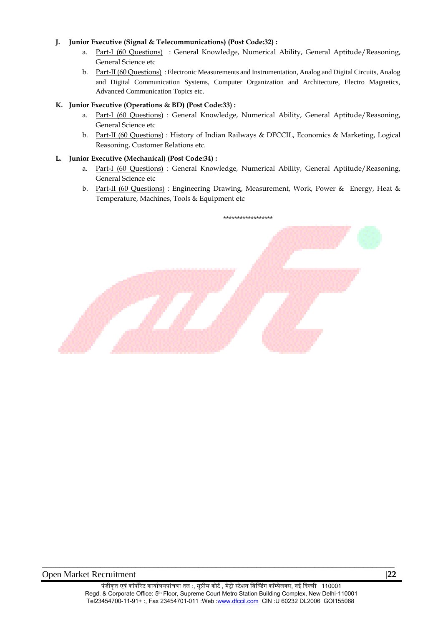## **J. Junior Executive (Signal & Telecommunications) (Post Code:32) :**

- a. Part-I (60 Questions) : General Knowledge, Numerical Ability, General Aptitude/Reasoning, General Science etc
- b. Part-II (60 Questions) : Electronic Measurements and Instrumentation, Analog and Digital Circuits, Analog and Digital Communication Systems, Computer Organization and Architecture, Electro Magnetics, Advanced Communication Topics etc.

## **K. Junior Executive (Operations & BD) (Post Code:33) :**

- a. Part-I (60 Questions) : General Knowledge, Numerical Ability, General Aptitude/Reasoning, General Science etc
- b. Part-II (60 Questions) : History of Indian Railways & DFCCIL, Economics & Marketing, Logical Reasoning, Customer Relations etc.

## **L. Junior Executive (Mechanical) (Post Code:34) :**

- a. Part-I (60 Questions) : General Knowledge, Numerical Ability, General Aptitude/Reasoning, General Science etc
- b. Part-II (60 Questions) : Engineering Drawing, Measurement, Work, Power & Energy, Heat & Temperature, Machines, Tools & Equipment etc

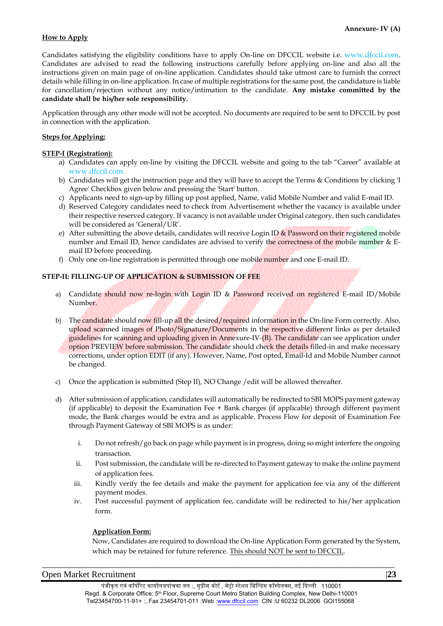## **How to Apply**

Candidates satisfying the eligibility conditions have to apply On-line on DFCCIL website i.e. www.dfccil.com. Candidates are advised to read the following instructions carefully before applying on-line and also all the instructions given on main page of on-line application. Candidates should take utmost care to furnish the correct details while filling in on-line application. In case of multiple registrations for the same post, the candidature is liable for cancellation/rejection without any notice/intimation to the candidate. **Any mistake committed by the candidate shall be his/her sole responsibility.** 

Application through any other mode will not be accepted. No documents are required to be sent to DFCCIL by post in connection with the application.

## **Steps for Applying:**

#### **STEP-I (Registration):**

- a) Candidates can apply on-line by visiting the DFCCIL website and going to the tab "Career" available at www.dfccil.com.
- b) Candidates will get the instruction page and they will have to accept the Terms & Conditions by clicking 'I Agree' Checkbox given below and pressing the 'Start' button.
- c) Applicants need to sign-up by filling up post applied, Name, valid Mobile Number and valid E-mail ID.
- d) Reserved Category candidates need to check from Advertisement whether the vacancy is available under their respective reserved category. If vacancy is not available under Original category, then such candidates will be considered as 'General/UR'.
- e) After submitting the above details, candidates will receive Login ID  $\&$  Password on their registered mobile number and Email ID, hence candidates are advised to verify the correctness of the mobile number & Email ID before proceeding.
- f) Only one on-line registration is permitted through one mobile number and one E-mail ID.

## **STEP-II: FILLING-UP OF APPLICATION & SUBMISSION OF FEE**

- a) Candidate should now re-login with Login ID & Password received on registered E-mail ID/Mobile Number.
- b) The candidate should now fill-up all the desired/required information in the On-line Form correctly. Also, upload scanned images of Photo/Signature/Documents in the respective different links as per detailed guidelines for scanning and uploading given in Annexure-IV-(B). The candidate can see application under option PREVIEW before submission. The candidate should check the details filled-in and make necessary corrections, under option EDIT (if any). However, Name, Post opted, Email-Id and Mobile Number cannot be changed.
- c) Once the application is submitted (Step II), NO Change /edit will be allowed thereafter.
- d) After submission of application, candidates will automatically be redirected to SBI MOPS payment gateway (if applicable) to deposit the Examination Fee + Bank charges (if applicable) through different payment mode, the Bank charges would be extra and as applicable. Process Flow for deposit of Examination Fee through Payment Gateway of SBI MOPS is as under:
	- i. Do not refresh/go back on page while payment is in progress, doing so might interfere the ongoing transaction.
	- ii. Post submission, the candidate will be re-directed to Payment gateway to make the online payment of application fees.
	- iii. Kindly verify the fee details and make the payment for application fee via any of the different payment modes.
	- iv. Post successful payment of application fee, candidate will be redirected to his/her application form.

#### **Application Form:**

Now, Candidates are required to download the On-line Application Form generated by the System, which may be retained for future reference. This should NOT be sent to DFCCIL.

#### Open Market Recruitment |**23**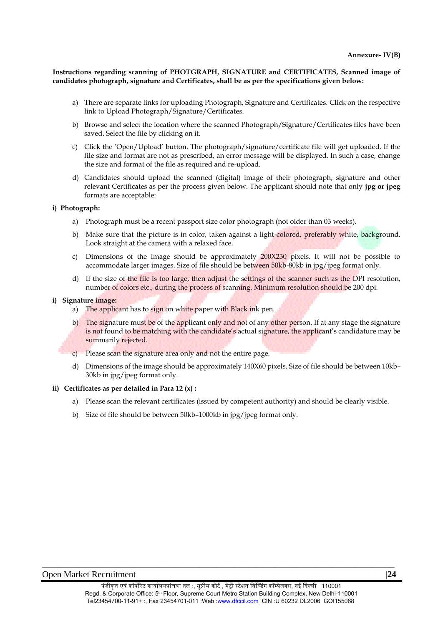**Instructions regarding scanning of PHOTGRAPH, SIGNATURE and CERTIFICATES, Scanned image of candidates photograph, signature and Certificates, shall be as per the specifications given below:**

- a) There are separate links for uploading Photograph, Signature and Certificates. Click on the respective link to Upload Photograph/Signature/Certificates.
- b) Browse and select the location where the scanned Photograph/Signature/Certificates files have been saved. Select the file by clicking on it.
- c) Click the 'Open/Upload' button. The photograph/signature/certificate file will get uploaded. If the file size and format are not as prescribed, an error message will be displayed. In such a case, change the size and format of the file as required and re-upload.
- d) Candidates should upload the scanned (digital) image of their photograph, signature and other relevant Certificates as per the process given below. The applicant should note that only **jpg or jpeg** formats are acceptable:

#### **i) Photograph:**

- a) Photograph must be a recent passport size color photograph (not older than 03 weeks).
- b) Make sure that the picture is in color, taken against a light-colored, preferably white, background. Look straight at the camera with a relaxed face.
- c) Dimensions of the image should be approximately 200X230 pixels. It will not be possible to accommodate larger images. Size of file should be between 50kb-80kb in jpg/jpeg format only.
- d) If the size of the file is too large, then adjust the settings of the scanner such as the DPI resolution, number of colors etc., during the process of scanning. Minimum resolution should be 200 dpi.

#### **i) Signature image:**

- a) The applicant has to sign on white paper with Black ink pen.
- b) The signature must be of the applicant only and not of any other person. If at any stage the signature is not found to be matching with the candidate's actual signature, the applicant's candidature may be summarily rejected.
- c) Please scan the signature area only and not the entire page.
- d) Dimensions of the image should be approximately 140X60 pixels. Size of file should be between 10kb– 30kb in jpg/jpeg format only.

#### **ii) Certificates as per detailed in Para 12 (x) :**

- a) Please scan the relevant certificates (issued by competent authority) and should be clearly visible.
- b) Size of file should be between 50kb–1000kb in jpg/jpeg format only.